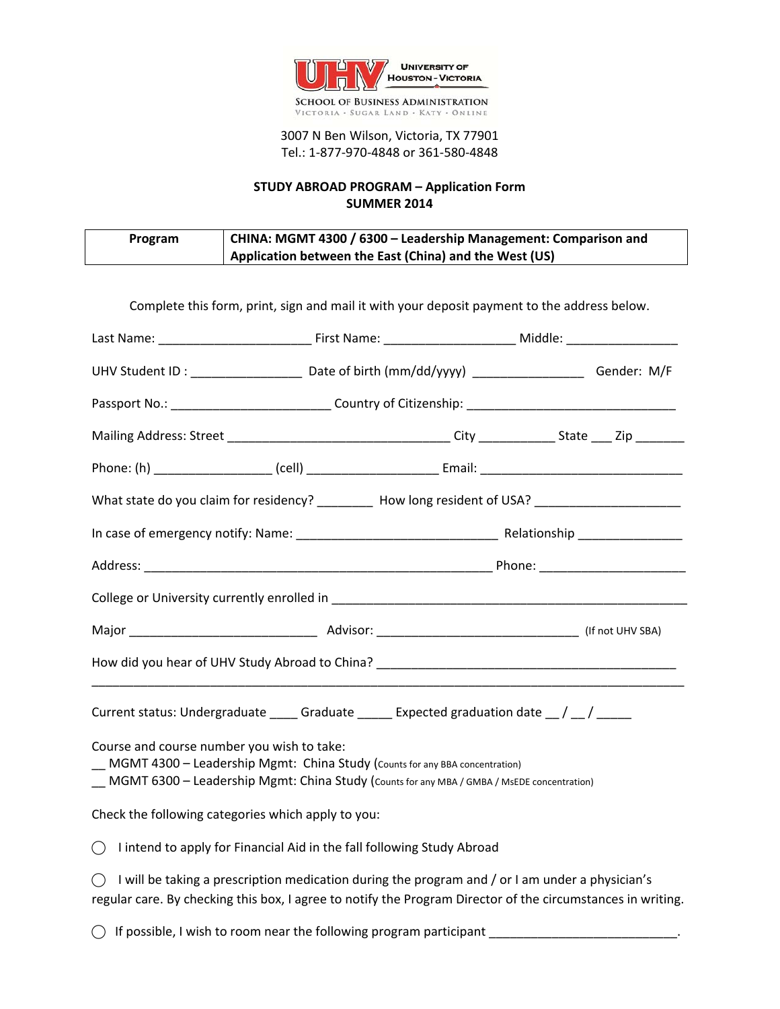

## 3007 N Ben Wilson, Victoria, TX 77901 Tel.: 1‐877‐970‐4848 or 361‐580‐4848

## **STUDY ABROAD PROGRAM – Application Form SUMMER 2014**

| Program | CHINA: MGMT 4300 / 6300 - Leadership Management: Comparison and |  |
|---------|-----------------------------------------------------------------|--|
|         | Application between the East (China) and the West (US)          |  |

|                                                                                                                                                                                                                           | Complete this form, print, sign and mail it with your deposit payment to the address below.     |  |  |
|---------------------------------------------------------------------------------------------------------------------------------------------------------------------------------------------------------------------------|-------------------------------------------------------------------------------------------------|--|--|
|                                                                                                                                                                                                                           |                                                                                                 |  |  |
| UHV Student ID: _____________________ Date of birth (mm/dd/yyyy) _________________ Gender: M/F                                                                                                                            |                                                                                                 |  |  |
|                                                                                                                                                                                                                           |                                                                                                 |  |  |
|                                                                                                                                                                                                                           |                                                                                                 |  |  |
|                                                                                                                                                                                                                           |                                                                                                 |  |  |
| What state do you claim for residency? _________ How long resident of USA? ________________________                                                                                                                       |                                                                                                 |  |  |
|                                                                                                                                                                                                                           |                                                                                                 |  |  |
|                                                                                                                                                                                                                           |                                                                                                 |  |  |
|                                                                                                                                                                                                                           |                                                                                                 |  |  |
|                                                                                                                                                                                                                           |                                                                                                 |  |  |
| How did you hear of UHV Study Abroad to China? __________________________________                                                                                                                                         |                                                                                                 |  |  |
| Current status: Undergraduate ______ Graduate ______ Expected graduation date __ / __ / _____                                                                                                                             |                                                                                                 |  |  |
| Course and course number you wish to take:<br>_ MGMT 4300 - Leadership Mgmt: China Study (Counts for any BBA concentration)<br>MGMT 6300 - Leadership Mgmt: China Study (Counts for any MBA / GMBA / MsEDE concentration) |                                                                                                 |  |  |
| Check the following categories which apply to you:                                                                                                                                                                        |                                                                                                 |  |  |
| $\bigcirc$ I intend to apply for Financial Aid in the fall following Study Abroad                                                                                                                                         |                                                                                                 |  |  |
| $\bigcirc$<br>regular care. By checking this box, I agree to notify the Program Director of the circumstances in writing.                                                                                                 | I will be taking a prescription medication during the program and / or I am under a physician's |  |  |
| $\bigcirc$ If possible, I wish to room near the following program participant                                                                                                                                             |                                                                                                 |  |  |